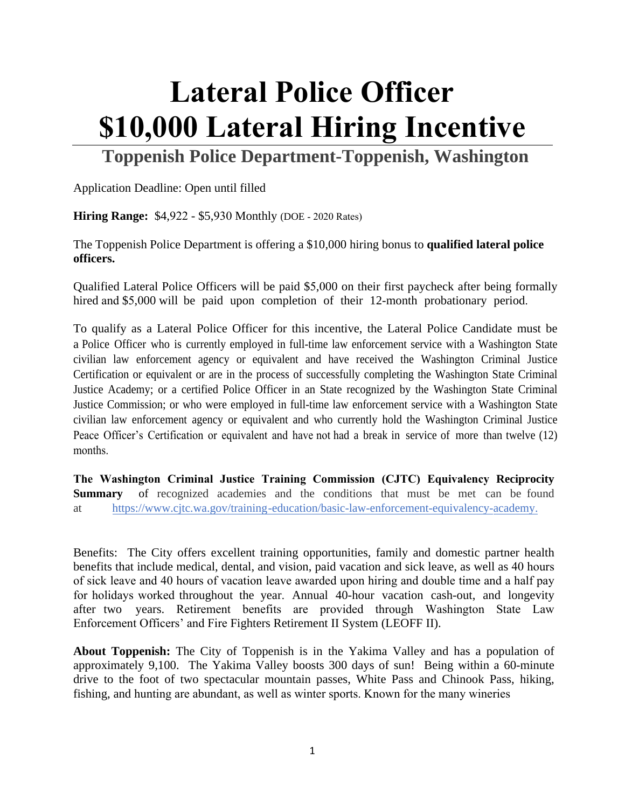## **Lateral Police Officer \$10,000 Lateral Hiring Incentive**

**Toppenish Police Department-Toppenish, Washington** 

Application Deadline: Open until filled

**Hiring Range: \$4,922 - \$5,930 Monthly (DOE - 2020 Rates)** 

The Toppenish Police Department is offering a \$10,000 hiring bonus to **qualified lateral police officers.**

Qualified Lateral Police Officers will be paid \$5,000 on their first paycheck after being formally hired and \$5,000 will be paid upon completion of their 12-month probationary period.

To qualify as a Lateral Police Officer for this incentive, the Lateral Police Candidate must be a Police Officer who is currently employed in full-time law enforcement service with a Washington State civilian law enforcement agency or equivalent and have received the Washington Criminal Justice Certification or equivalent or are in the process of successfully completing the Washington State Criminal Justice Academy; or a certified Police Officer in an State recognized by the Washington State Criminal Justice Commission; or who were employed in full-time law enforcement service with a Washington State civilian law enforcement agency or equivalent and who currently hold the Washington Criminal Justice Peace Officer's Certification or equivalent and have not had a break in service of more than twelve (12) months.

**The Washington Criminal Justice Training Commission (CJTC) Equivalency Reciprocity Summary** of recognized academies and the conditions that must be met can be found at [https://www.cjtc.wa.gov/training-education/basic-law-enforcement-equivalency-academy.](https://www.cjtc.wa.gov/docs/default-source/course-required-forms/blea/equiv-reciprocity-summary-(03-21-18).pdf?sfvrsn=2736a9c5_2)

Benefits: The City offers excellent training opportunities, family and domestic partner health benefits that include medical, dental, and vision, paid vacation and sick leave, as well as 40 hours of sick leave and 40 hours of vacation leave awarded upon hiring and double time and a half pay for holidays worked throughout the year. Annual 40-hour vacation cash-out, and longevity after two years. Retirement benefits are provided through Washington State Law Enforcement Officers' and Fire Fighters Retirement II System (LEOFF II).

**About Toppenish:** The City of Toppenish is in the Yakima Valley and has a population of approximately 9,100. The Yakima Valley boosts 300 days of sun! Being within a 60-minute drive to the foot of two spectacular mountain passes, White Pass and Chinook Pass, hiking, fishing, and hunting are abundant, as well as winter sports. Known for the many wineries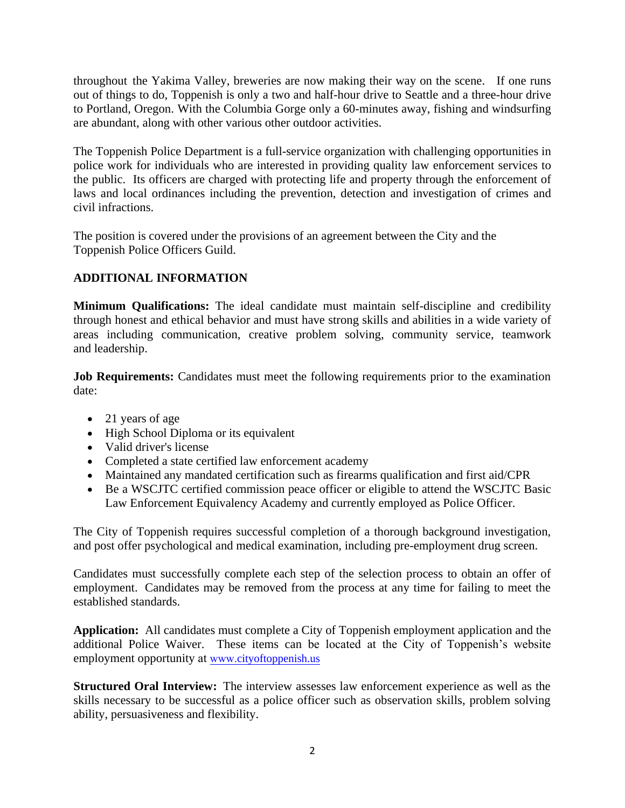throughout the Yakima Valley, breweries are now making their way on the scene. If one runs out of things to do, Toppenish is only a two and half-hour drive to Seattle and a three-hour drive to Portland, Oregon. With the Columbia Gorge only a 60-minutes away, fishing and windsurfing are abundant, along with other various other outdoor activities.

The Toppenish Police Department is a full-service organization with challenging opportunities in police work for individuals who are interested in providing quality law enforcement services to the public. Its officers are charged with protecting life and property through the enforcement of laws and local ordinances including the prevention, detection and investigation of crimes and civil infractions.

The position is covered under the provisions of an agreement between the City and the Toppenish Police Officers Guild.

## **ADDITIONAL INFORMATION**

**Minimum Qualifications:** The ideal candidate must maintain self-discipline and credibility through honest and ethical behavior and must have strong skills and abilities in a wide variety of areas including communication, creative problem solving, community service, teamwork and leadership.

**Job Requirements:** Candidates must meet the following requirements prior to the examination date:

- 21 years of age
- High School Diploma or its equivalent
- Valid driver's license
- Completed a state certified law enforcement academy
- Maintained any mandated certification such as firearms qualification and first aid/CPR
- Be a WSCJTC certified commission peace officer or eligible to attend the WSCJTC Basic Law Enforcement Equivalency Academy and currently employed as Police Officer.

The City of Toppenish requires successful completion of a thorough background investigation, and post offer psychological and medical examination, including pre-employment drug screen.

Candidates must successfully complete each step of the selection process to obtain an offer of employment. Candidates may be removed from the process at any time for failing to meet the established standards.

**Application:** All candidates must complete a City of Toppenish employment application and the additional Police Waiver. These items can be located at the City of Toppenish's website employment opportunity at www.[cityoftoppenish.us](http://cityoftoppenish.us/employment-opportunities/)

**Structured Oral Interview:** The interview assesses law enforcement experience as well as the skills necessary to be successful as a police officer such as observation skills, problem solving ability, persuasiveness and flexibility.